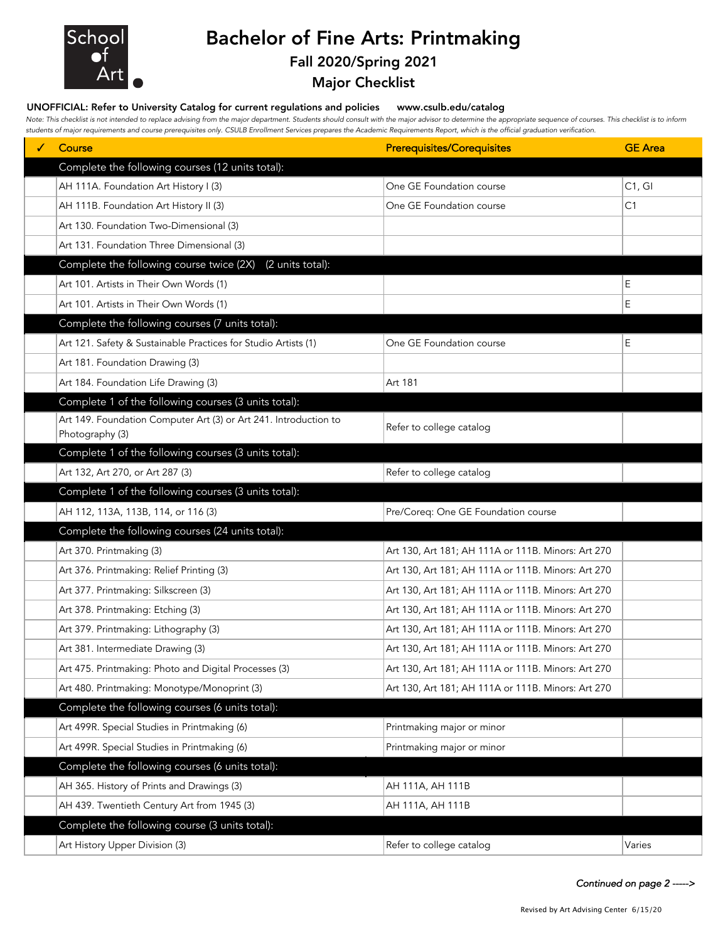

# Bachelor of Fine Arts: Printmaking

### Fall 2020/Spring 2021

### Major Checklist

#### UNOFFICIAL: Refer to University Catalog for current regulations and policies www.csulb.edu/catalog

*Note: This checklist is not intended to replace advising from the major department. Students should consult with the major advisor to determine the appropriate sequence of courses. This checklist is to inform students of major requirements and course prerequisites only. CSULB Enrollment Services prepares the Academic Requirements Report, which is the official graduation verification.*

| Course                                                           | <b>Prerequisites/Corequisites</b>                  | <b>GE</b> Area |
|------------------------------------------------------------------|----------------------------------------------------|----------------|
| Complete the following courses (12 units total):                 |                                                    |                |
| AH 111A. Foundation Art History I (3)                            | One GE Foundation course                           | C1, G1         |
| AH 111B. Foundation Art History II (3)                           | One GE Foundation course                           | C1             |
| Art 130. Foundation Two-Dimensional (3)                          |                                                    |                |
| Art 131. Foundation Three Dimensional (3)                        |                                                    |                |
| Complete the following course twice (2X)<br>(2 units total):     |                                                    |                |
| Art 101. Artists in Their Own Words (1)                          |                                                    | Е              |
| Art 101. Artists in Their Own Words (1)                          |                                                    | E              |
| Complete the following courses (7 units total):                  |                                                    |                |
| Art 121. Safety & Sustainable Practices for Studio Artists (1)   | One GE Foundation course                           | E              |
| Art 181. Foundation Drawing (3)                                  |                                                    |                |
| Art 184. Foundation Life Drawing (3)                             | Art 181                                            |                |
| Complete 1 of the following courses (3 units total):             |                                                    |                |
| Art 149. Foundation Computer Art (3) or Art 241. Introduction to | Refer to college catalog                           |                |
| Photography (3)                                                  |                                                    |                |
| Complete 1 of the following courses (3 units total):             |                                                    |                |
| Art 132, Art 270, or Art 287 (3)                                 | Refer to college catalog                           |                |
| Complete 1 of the following courses (3 units total):             |                                                    |                |
| AH 112, 113A, 113B, 114, or 116 (3)                              | Pre/Coreq: One GE Foundation course                |                |
| Complete the following courses (24 units total):                 |                                                    |                |
| Art 370. Printmaking (3)                                         | Art 130, Art 181; AH 111A or 111B. Minors: Art 270 |                |
| Art 376. Printmaking: Relief Printing (3)                        | Art 130, Art 181; AH 111A or 111B. Minors: Art 270 |                |
| Art 377. Printmaking: Silkscreen (3)                             | Art 130, Art 181; AH 111A or 111B. Minors: Art 270 |                |
| Art 378. Printmaking: Etching (3)                                | Art 130, Art 181; AH 111A or 111B. Minors: Art 270 |                |
| Art 379. Printmaking: Lithography (3)                            | Art 130, Art 181; AH 111A or 111B. Minors: Art 270 |                |
| Art 381. Intermediate Drawing (3)                                | Art 130, Art 181; AH 111A or 111B. Minors: Art 270 |                |
| Art 475. Printmaking: Photo and Digital Processes (3)            | Art 130, Art 181; AH 111A or 111B. Minors: Art 270 |                |
| Art 480. Printmaking: Monotype/Monoprint (3)                     | Art 130, Art 181; AH 111A or 111B. Minors: Art 270 |                |
| Complete the following courses (6 units total):                  |                                                    |                |
| Art 499R. Special Studies in Printmaking (6)                     | Printmaking major or minor                         |                |
| Art 499R. Special Studies in Printmaking (6)                     | Printmaking major or minor                         |                |
| Complete the following courses (6 units total):                  |                                                    |                |
| AH 365. History of Prints and Drawings (3)                       | AH 111A, AH 111B                                   |                |
| AH 439. Twentieth Century Art from 1945 (3)                      | AH 111A, AH 111B                                   |                |
| Complete the following course (3 units total):                   |                                                    |                |
| Art History Upper Division (3)                                   | Refer to college catalog                           | Varies         |